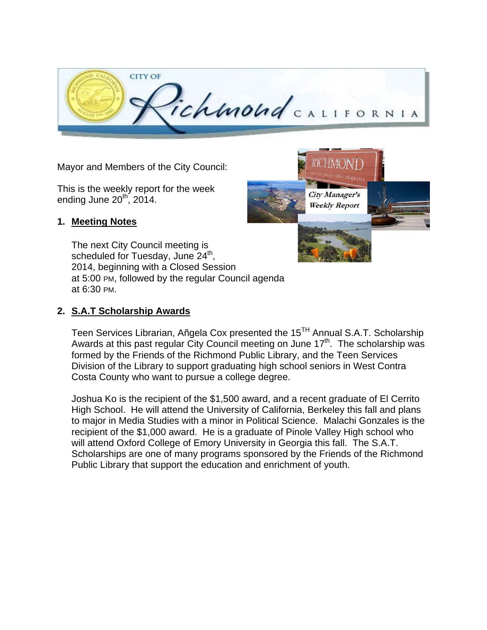

Mayor and Members of the City Council:

This is the weekly report for the week ending June  $20<sup>th</sup>$ , 2014.

### **1. Meeting Notes**

The next City Council meeting is scheduled for Tuesday, June  $24<sup>th</sup>$ , 2014, beginning with a Closed Session at 5:00 PM, followed by the regular Council agenda at 6:30 PM.

### **2. S.A.T Scholarship Awards**

Teen Services Librarian, Añgela Cox presented the 15<sup>TH</sup> Annual S.A.T. Scholarship Awards at this past regular City Council meeting on June  $17<sup>th</sup>$ . The scholarship was formed by the Friends of the Richmond Public Library, and the Teen Services Division of the Library to support graduating high school seniors in West Contra Costa County who want to pursue a college degree.

Joshua Ko is the recipient of the \$1,500 award, and a recent graduate of El Cerrito High School. He will attend the University of California, Berkeley this fall and plans to major in Media Studies with a minor in Political Science. Malachi Gonzales is the recipient of the \$1,000 award. He is a graduate of Pinole Valley High school who will attend Oxford College of Emory University in Georgia this fall. The S.A.T. Scholarships are one of many programs sponsored by the Friends of the Richmond Public Library that support the education and enrichment of youth.

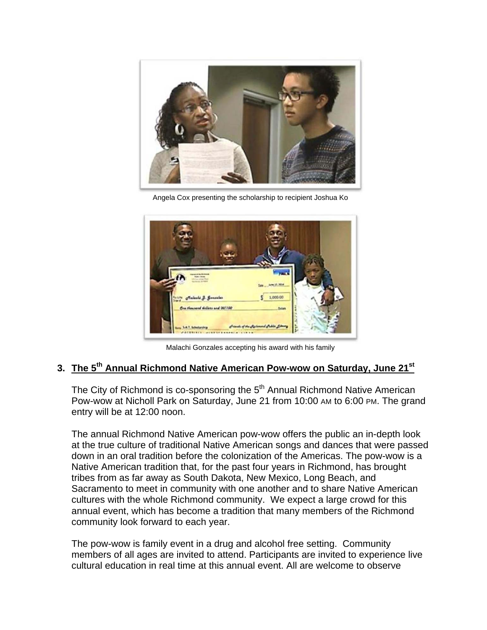

Angela Cox presenting the scholarship to recipient Joshua Ko



Malachi Gonzales accepting his award with his family

# **3. The 5th Annual Richmond Native American Pow-wow on Saturday, June 21st**

The City of Richmond is co-sponsoring the  $5<sup>th</sup>$  Annual Richmond Native American Pow-wow at Nicholl Park on Saturday, June 21 from 10:00 AM to 6:00 PM. The grand entry will be at 12:00 noon.

The annual Richmond Native American pow-wow offers the public an in-depth look at the true culture of traditional Native American songs and dances that were passed down in an oral tradition before the colonization of the Americas. The pow-wow is a Native American tradition that, for the past four years in Richmond, has brought tribes from as far away as South Dakota, New Mexico, Long Beach, and Sacramento to meet in community with one another and to share Native American cultures with the whole Richmond community. We expect a large crowd for this annual event, which has become a tradition that many members of the Richmond community look forward to each year.

The pow-wow is family event in a drug and alcohol free setting. Community members of all ages are invited to attend. Participants are invited to experience live cultural education in real time at this annual event. All are welcome to observe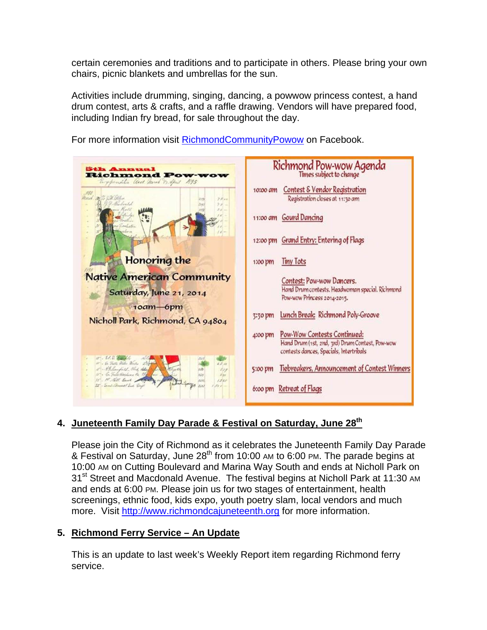certain ceremonies and traditions and to participate in others. Please bring your own chairs, picnic blankets and umbrellas for the sun.

Activities include drumming, singing, dancing, a powwow princess contest, a hand drum contest, arts & crafts, and a raffle drawing. Vendors will have prepared food, including Indian fry bread, for sale throughout the day.

Richmond Pow-wow Agenda Times subject to change **Richmond F** auch mines 1895 10:00 am Contest & Vendor Registration Registration closes at 11:30 am 11:00 am Gourd Dancing 12:00 pm Grand Entry: Entering of Flags **Honoring the** 1:00 pm Tiny Tots **Native American Community** Contest: Pow-wow Dancers. Hand Drum contests. Headwoman special. Richmond Saturday, June 21, 2014 Pow-wow Princess 2014-2015. 10am-6pm 3:30 pm Lunch Break: Richmond Poly-Groove Nicholl Park, Richmond, CA 94804 4:00 pm Pow-Wow Contests Continued: Hand Drum (1st. 2nd, 3rd) Drum Contest, Pow-wow contests dances, Specials, Intertribals 5:00 pm Tiebreakers, Announcement of Contest Winners 6:00 pm Retreat of Flags

For more information visit RichmondCommunityPowow on Facebook.

## **4. Juneteenth Family Day Parade & Festival on Saturday, June 28th**

Please join the City of Richmond as it celebrates the Juneteenth Family Day Parade & Festival on Saturday, June  $28<sup>th</sup>$  from 10:00 AM to 6:00 PM. The parade begins at 10:00 AM on Cutting Boulevard and Marina Way South and ends at Nicholl Park on 31<sup>st</sup> Street and Macdonald Avenue. The festival begins at Nicholl Park at 11:30 AM and ends at 6:00 PM. Please join us for two stages of entertainment, health screenings, ethnic food, kids expo, youth poetry slam, local vendors and much more. Visit http://www.richmondcajuneteenth.org for more information.

### **5. Richmond Ferry Service – An Update**

This is an update to last week's Weekly Report item regarding Richmond ferry service.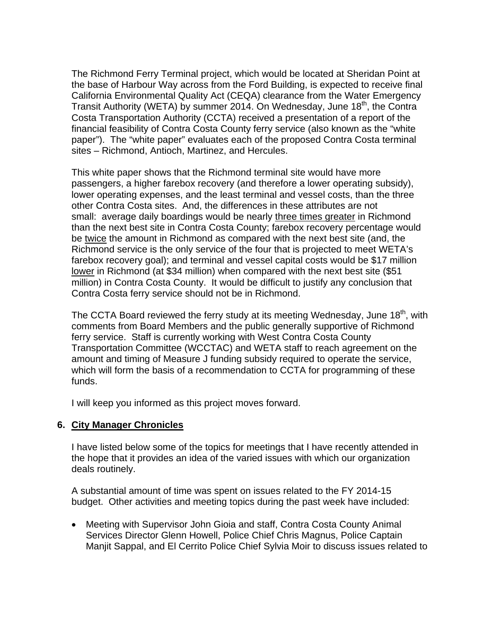The Richmond Ferry Terminal project, which would be located at Sheridan Point at the base of Harbour Way across from the Ford Building, is expected to receive final California Environmental Quality Act (CEQA) clearance from the Water Emergency Transit Authority (WETA) by summer 2014. On Wednesday, June 18<sup>th</sup>, the Contra Costa Transportation Authority (CCTA) received a presentation of a report of the financial feasibility of Contra Costa County ferry service (also known as the "white paper"). The "white paper" evaluates each of the proposed Contra Costa terminal sites – Richmond, Antioch, Martinez, and Hercules.

This white paper shows that the Richmond terminal site would have more passengers, a higher farebox recovery (and therefore a lower operating subsidy), lower operating expenses, and the least terminal and vessel costs, than the three other Contra Costa sites. And, the differences in these attributes are not small: average daily boardings would be nearly three times greater in Richmond than the next best site in Contra Costa County; farebox recovery percentage would be twice the amount in Richmond as compared with the next best site (and, the Richmond service is the only service of the four that is projected to meet WETA's farebox recovery goal); and terminal and vessel capital costs would be \$17 million lower in Richmond (at \$34 million) when compared with the next best site (\$51 million) in Contra Costa County. It would be difficult to justify any conclusion that Contra Costa ferry service should not be in Richmond.

The CCTA Board reviewed the ferry study at its meeting Wednesday, June 18<sup>th</sup>, with comments from Board Members and the public generally supportive of Richmond ferry service. Staff is currently working with West Contra Costa County Transportation Committee (WCCTAC) and WETA staff to reach agreement on the amount and timing of Measure J funding subsidy required to operate the service, which will form the basis of a recommendation to CCTA for programming of these funds.

I will keep you informed as this project moves forward.

### **6. City Manager Chronicles**

I have listed below some of the topics for meetings that I have recently attended in the hope that it provides an idea of the varied issues with which our organization deals routinely.

A substantial amount of time was spent on issues related to the FY 2014-15 budget. Other activities and meeting topics during the past week have included:

 Meeting with Supervisor John Gioia and staff, Contra Costa County Animal Services Director Glenn Howell, Police Chief Chris Magnus, Police Captain Manjit Sappal, and El Cerrito Police Chief Sylvia Moir to discuss issues related to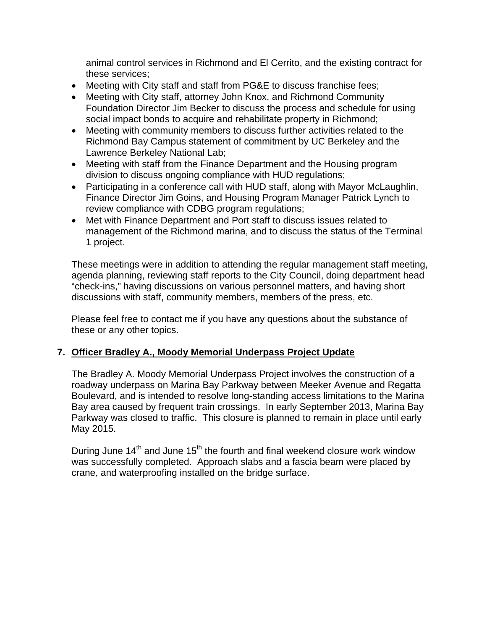animal control services in Richmond and El Cerrito, and the existing contract for these services;

- Meeting with City staff and staff from PG&E to discuss franchise fees;
- Meeting with City staff, attorney John Knox, and Richmond Community Foundation Director Jim Becker to discuss the process and schedule for using social impact bonds to acquire and rehabilitate property in Richmond;
- Meeting with community members to discuss further activities related to the Richmond Bay Campus statement of commitment by UC Berkeley and the Lawrence Berkeley National Lab;
- Meeting with staff from the Finance Department and the Housing program division to discuss ongoing compliance with HUD regulations;
- Participating in a conference call with HUD staff, along with Mayor McLaughlin, Finance Director Jim Goins, and Housing Program Manager Patrick Lynch to review compliance with CDBG program regulations;
- Met with Finance Department and Port staff to discuss issues related to management of the Richmond marina, and to discuss the status of the Terminal 1 project.

These meetings were in addition to attending the regular management staff meeting, agenda planning, reviewing staff reports to the City Council, doing department head "check-ins," having discussions on various personnel matters, and having short discussions with staff, community members, members of the press, etc.

Please feel free to contact me if you have any questions about the substance of these or any other topics.

## **7. Officer Bradley A., Moody Memorial Underpass Project Update**

The Bradley A. Moody Memorial Underpass Project involves the construction of a roadway underpass on Marina Bay Parkway between Meeker Avenue and Regatta Boulevard, and is intended to resolve long-standing access limitations to the Marina Bay area caused by frequent train crossings. In early September 2013, Marina Bay Parkway was closed to traffic. This closure is planned to remain in place until early May 2015.

During June  $14<sup>th</sup>$  and June  $15<sup>th</sup>$  the fourth and final weekend closure work window was successfully completed. Approach slabs and a fascia beam were placed by crane, and waterproofing installed on the bridge surface.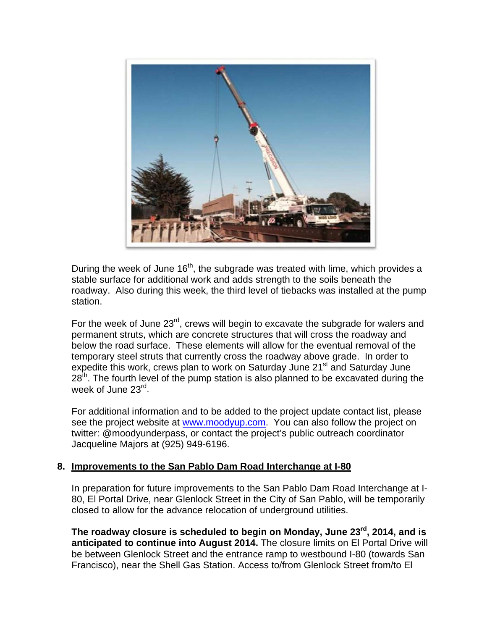

During the week of June  $16<sup>th</sup>$ , the subgrade was treated with lime, which provides a stable surface for additional work and adds strength to the soils beneath the roadway. Also during this week, the third level of tiebacks was installed at the pump station.

For the week of June 23<sup>rd</sup>, crews will begin to excavate the subgrade for walers and permanent struts, which are concrete structures that will cross the roadway and below the road surface. These elements will allow for the eventual removal of the temporary steel struts that currently cross the roadway above grade. In order to expedite this work, crews plan to work on Saturday June 21<sup>st</sup> and Saturday June  $28<sup>th</sup>$ . The fourth level of the pump station is also planned to be excavated during the week of June 23<sup>rd</sup>.

For additional information and to be added to the project update contact list, please see the project website at www.moodyup.com. You can also follow the project on twitter: @moodyunderpass, or contact the project's public outreach coordinator Jacqueline Majors at (925) 949-6196.

### **8. Improvements to the San Pablo Dam Road Interchange at I-80**

In preparation for future improvements to the San Pablo Dam Road Interchange at I-80, El Portal Drive, near Glenlock Street in the City of San Pablo, will be temporarily closed to allow for the advance relocation of underground utilities.

**The roadway closure is scheduled to begin on Monday, June 23rd, 2014, and is anticipated to continue into August 2014.** The closure limits on El Portal Drive will be between Glenlock Street and the entrance ramp to westbound I-80 (towards San Francisco), near the Shell Gas Station. Access to/from Glenlock Street from/to El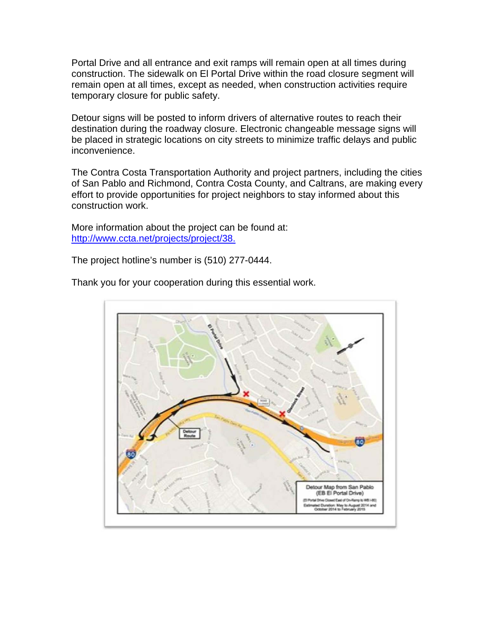Portal Drive and all entrance and exit ramps will remain open at all times during construction. The sidewalk on El Portal Drive within the road closure segment will remain open at all times, except as needed, when construction activities require temporary closure for public safety.

Detour signs will be posted to inform drivers of alternative routes to reach their destination during the roadway closure. Electronic changeable message signs will be placed in strategic locations on city streets to minimize traffic delays and public inconvenience.

The Contra Costa Transportation Authority and project partners, including the cities of San Pablo and Richmond, Contra Costa County, and Caltrans, are making every effort to provide opportunities for project neighbors to stay informed about this construction work.

More information about the project can be found at: http://www.ccta.net/projects/project/38.

The project hotline's number is (510) 277-0444.

80 our Map from San Pa (EB El Portal Drive) a Closed East of On-Ra d Dunstion: May to August 2014 and<br>dober 2014 to February 2015

Thank you for your cooperation during this essential work.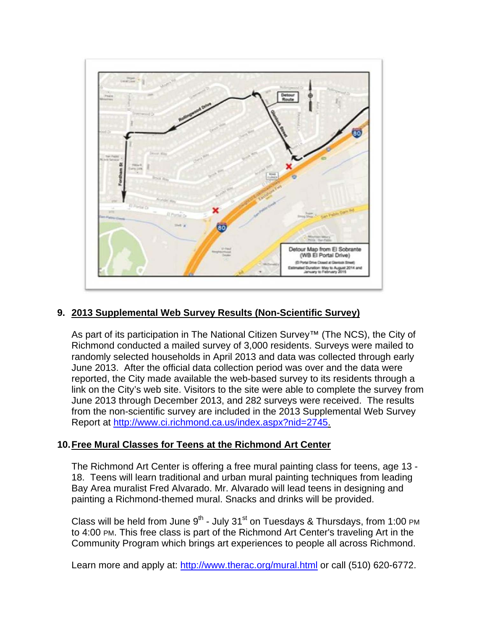

### **9. 2013 Supplemental Web Survey Results (Non-Scientific Survey)**

As part of its participation in The National Citizen Survey™ (The NCS), the City of Richmond conducted a mailed survey of 3,000 residents. Surveys were mailed to randomly selected households in April 2013 and data was collected through early June 2013. After the official data collection period was over and the data were reported, the City made available the web-based survey to its residents through a link on the City's web site. Visitors to the site were able to complete the survey from June 2013 through December 2013, and 282 surveys were received. The results from the non-scientific survey are included in the 2013 Supplemental Web Survey Report at http://www.ci.richmond.ca.us/index.aspx?nid=2745.

### **10. Free Mural Classes for Teens at the Richmond Art Center**

The Richmond Art Center is offering a free mural painting class for teens, age 13 - 18. Teens will learn traditional and urban mural painting techniques from leading Bay Area muralist Fred Alvarado. Mr. Alvarado will lead teens in designing and painting a Richmond-themed mural. Snacks and drinks will be provided.

Class will be held from June  $9<sup>th</sup>$  - July 31<sup>st</sup> on Tuesdays & Thursdays, from 1:00 PM to 4:00 PM. This free class is part of the Richmond Art Center's traveling Art in the Community Program which brings art experiences to people all across Richmond.

Learn more and apply at: http://www.therac.org/mural.html or call (510) 620-6772.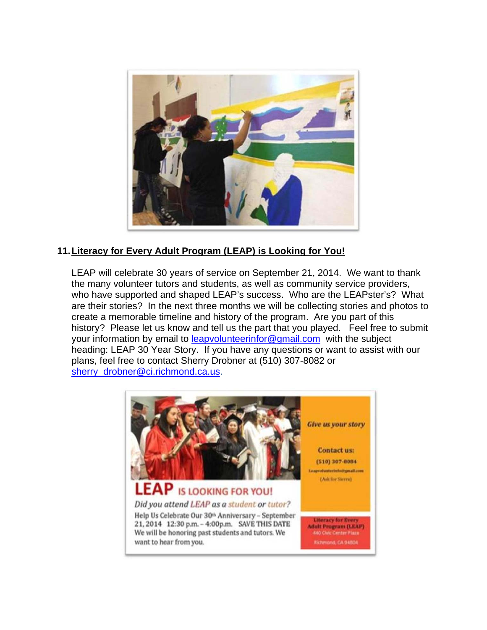

## **11. Literacy for Every Adult Program (LEAP) is Looking for You!**

LEAP will celebrate 30 years of service on September 21, 2014. We want to thank the many volunteer tutors and students, as well as community service providers, who have supported and shaped LEAP's success. Who are the LEAPster's? What are their stories? In the next three months we will be collecting stories and photos to create a memorable timeline and history of the program. Are you part of this history? Please let us know and tell us the part that you played. Feel free to submit your information by email to leapvolunteerinfor@gmail.com with the subject heading: LEAP 30 Year Story. If you have any questions or want to assist with our plans, feel free to contact Sherry Drobner at (510) 307-8082 or sherry\_drobner@ci.richmond.ca.us.

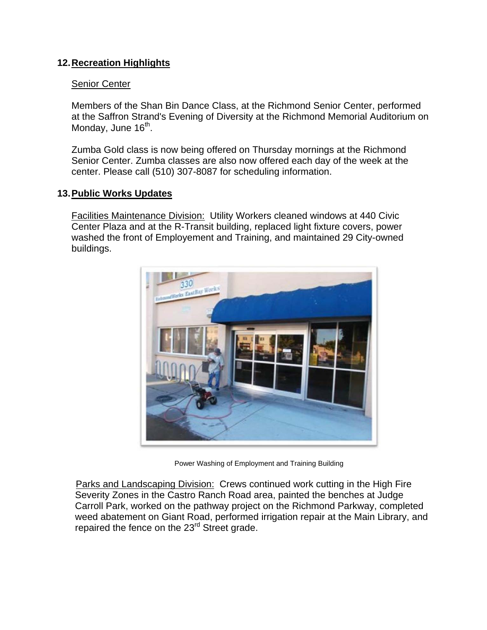### **12. Recreation Highlights**

#### Senior Center

Members of the Shan Bin Dance Class, at the Richmond Senior Center, performed at the Saffron Strand's Evening of Diversity at the Richmond Memorial Auditorium on Monday, June 16<sup>th</sup>.

Zumba Gold class is now being offered on Thursday mornings at the Richmond Senior Center. Zumba classes are also now offered each day of the week at the center. Please call (510) 307-8087 for scheduling information.

### **13. Public Works Updates**

Facilities Maintenance Division: Utility Workers cleaned windows at 440 Civic Center Plaza and at the R-Transit building, replaced light fixture covers, power washed the front of Employement and Training, and maintained 29 City-owned buildings.



Power Washing of Employment and Training Building

Parks and Landscaping Division: Crews continued work cutting in the High Fire Severity Zones in the Castro Ranch Road area, painted the benches at Judge Carroll Park, worked on the pathway project on the Richmond Parkway, completed weed abatement on Giant Road, performed irrigation repair at the Main Library, and repaired the fence on the 23<sup>rd</sup> Street grade.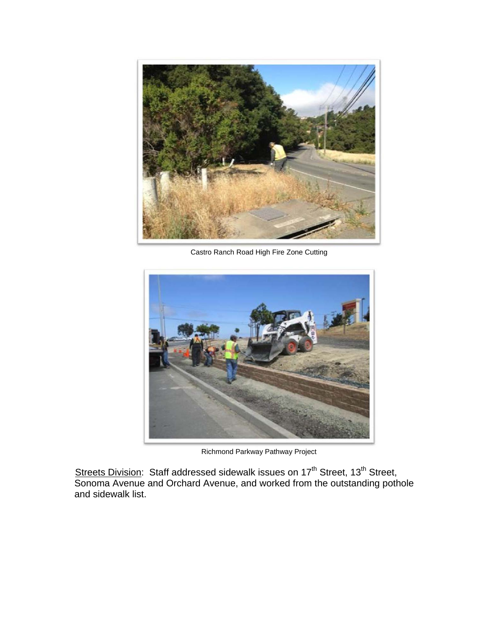

Castro Ranch Road High Fire Zone Cutting



Richmond Parkway Pathway Project

Streets Division: Staff addressed sidewalk issues on 17<sup>th</sup> Street, 13<sup>th</sup> Street, Sonoma Avenue and Orchard Avenue, and worked from the outstanding pothole and sidewalk list.